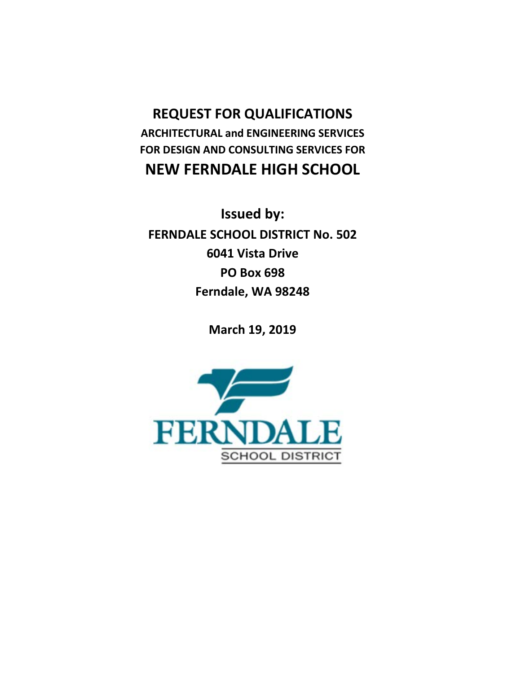## **REQUEST FOR QUALIFICATIONS ARCHITECTURAL and ENGINEERING SERVICES FOR DESIGN AND CONSULTING SERVICES FOR NEW FERNDALE HIGH SCHOOL**

**Issued by: FERNDALE SCHOOL DISTRICT No. 502 6041 Vista Drive PO Box 698 Ferndale, WA 98248**

**March 19, 2019**

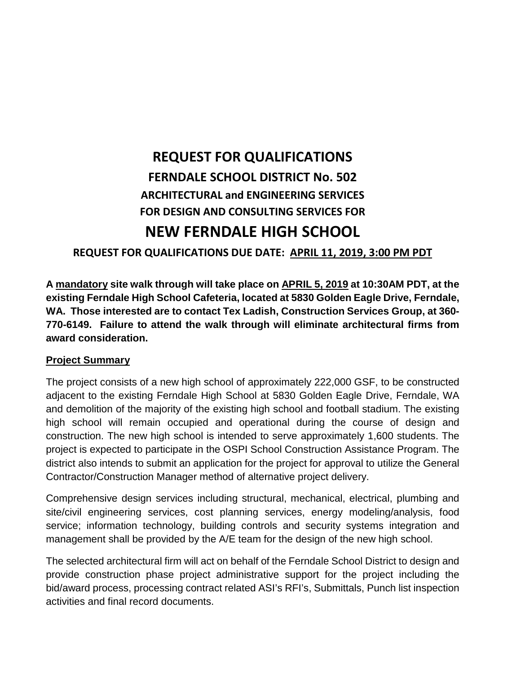# **REQUEST FOR QUALIFICATIONS FERNDALE SCHOOL DISTRICT No. 502 ARCHITECTURAL and ENGINEERING SERVICES FOR DESIGN AND CONSULTING SERVICES FOR NEW FERNDALE HIGH SCHOOL**

**REQUEST FOR QUALIFICATIONS DUE DATE: APRIL 11, 2019, 3:00 PM PDT**

**A mandatory site walk through will take place on APRIL 5, 2019 at 10:30AM PDT, at the existing Ferndale High School Cafeteria, located at 5830 Golden Eagle Drive, Ferndale, WA. Those interested are to contact Tex Ladish, Construction Services Group, at 360- 770-6149. Failure to attend the walk through will eliminate architectural firms from award consideration.**

#### **Project Summary**

The project consists of a new high school of approximately 222,000 GSF, to be constructed adjacent to the existing Ferndale High School at 5830 Golden Eagle Drive, Ferndale, WA and demolition of the majority of the existing high school and football stadium. The existing high school will remain occupied and operational during the course of design and construction. The new high school is intended to serve approximately 1,600 students. The project is expected to participate in the OSPI School Construction Assistance Program. The district also intends to submit an application for the project for approval to utilize the General Contractor/Construction Manager method of alternative project delivery.

Comprehensive design services including structural, mechanical, electrical, plumbing and site/civil engineering services, cost planning services, energy modeling/analysis, food service; information technology, building controls and security systems integration and management shall be provided by the A/E team for the design of the new high school.

The selected architectural firm will act on behalf of the Ferndale School District to design and provide construction phase project administrative support for the project including the bid/award process, processing contract related ASI's RFI's, Submittals, Punch list inspection activities and final record documents.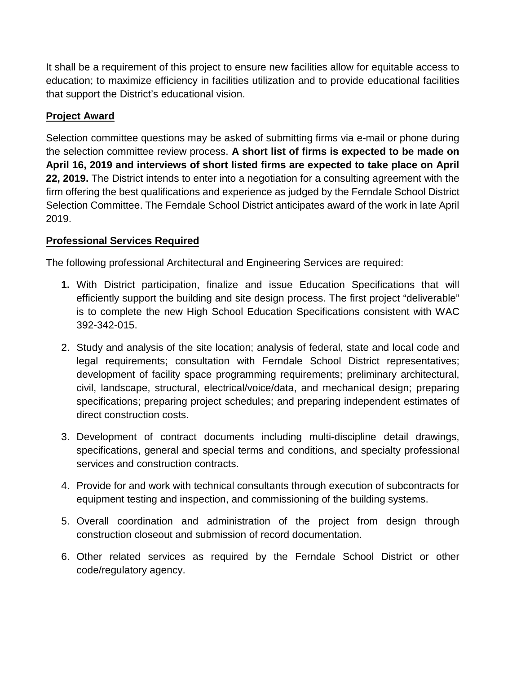It shall be a requirement of this project to ensure new facilities allow for equitable access to education; to maximize efficiency in facilities utilization and to provide educational facilities that support the District's educational vision.

### **Project Award**

Selection committee questions may be asked of submitting firms via e-mail or phone during the selection committee review process. **A short list of firms is expected to be made on April 16, 2019 and interviews of short listed firms are expected to take place on April 22, 2019.** The District intends to enter into a negotiation for a consulting agreement with the firm offering the best qualifications and experience as judged by the Ferndale School District Selection Committee. The Ferndale School District anticipates award of the work in late April 2019.

### **Professional Services Required**

The following professional Architectural and Engineering Services are required:

- **1.** With District participation, finalize and issue Education Specifications that will efficiently support the building and site design process. The first project "deliverable" is to complete the new High School Education Specifications consistent with WAC 392-342-015.
- 2. Study and analysis of the site location; analysis of federal, state and local code and legal requirements; consultation with Ferndale School District representatives; development of facility space programming requirements; preliminary architectural, civil, landscape, structural, electrical/voice/data, and mechanical design; preparing specifications; preparing project schedules; and preparing independent estimates of direct construction costs.
- 3. Development of contract documents including multi-discipline detail drawings, specifications, general and special terms and conditions, and specialty professional services and construction contracts.
- 4. Provide for and work with technical consultants through execution of subcontracts for equipment testing and inspection, and commissioning of the building systems.
- 5. Overall coordination and administration of the project from design through construction closeout and submission of record documentation.
- 6. Other related services as required by the Ferndale School District or other code/regulatory agency.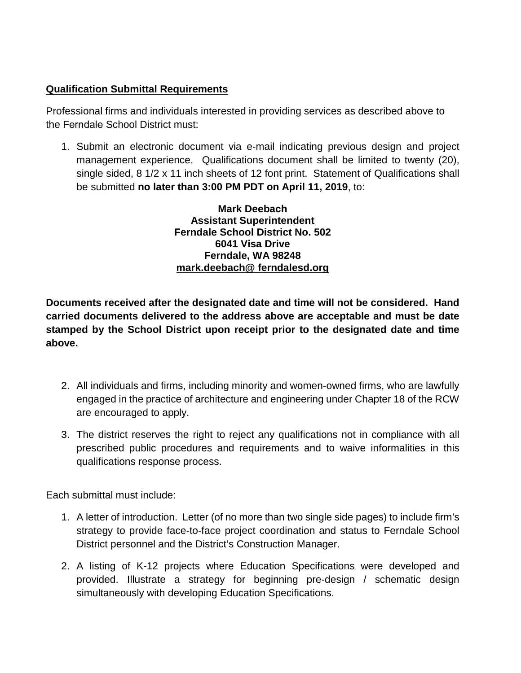#### **Qualification Submittal Requirements**

Professional firms and individuals interested in providing services as described above to the Ferndale School District must:

1. Submit an electronic document via e-mail indicating previous design and project management experience. Qualifications document shall be limited to twenty (20), single sided, 8 1/2 x 11 inch sheets of 12 font print. Statement of Qualifications shall be submitted **no later than 3:00 PM PDT on April 11, 2019**, to:

> **Mark Deebach Assistant Superintendent Ferndale School District No. 502 6041 Visa Drive Ferndale, WA 98248 mark.deebach@ ferndalesd.org**

**Documents received after the designated date and time will not be considered. Hand carried documents delivered to the address above are acceptable and must be date stamped by the School District upon receipt prior to the designated date and time above.** 

- 2. All individuals and firms, including minority and women-owned firms, who are lawfully engaged in the practice of architecture and engineering under Chapter 18 of the RCW are encouraged to apply.
- 3. The district reserves the right to reject any qualifications not in compliance with all prescribed public procedures and requirements and to waive informalities in this qualifications response process.

Each submittal must include:

- 1. A letter of introduction. Letter (of no more than two single side pages) to include firm's strategy to provide face-to-face project coordination and status to Ferndale School District personnel and the District's Construction Manager.
- 2. A listing of K-12 projects where Education Specifications were developed and provided. Illustrate a strategy for beginning pre-design / schematic design simultaneously with developing Education Specifications.